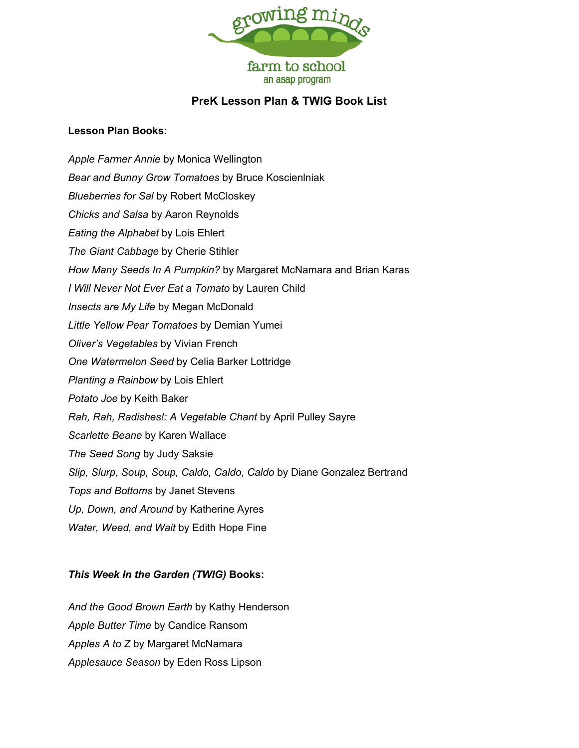

## **PreK Lesson Plan & TWIG Book List**

## **Lesson Plan Books:**

*Apple Farmer Annie* by Monica Wellington *Bear and Bunny Grow Tomatoes* by Bruce Koscienlniak *Blueberries for Sal* by Robert McCloskey *Chicks and Salsa* by Aaron Reynolds *Eating the Alphabet* by Lois Ehlert *The Giant Cabbage* by Cherie Stihler *How Many Seeds In A Pumpkin?* by Margaret McNamara and Brian Karas *I Will Never Not Ever Eat a Tomato* by Lauren Child *Insects are My Life* by Megan McDonald *Little Yellow Pear Tomatoes* by Demian Yumei *Oliver's Vegetables* by Vivian French *One Watermelon Seed* by Celia Barker Lottridge *Planting a Rainbow* by Lois Ehlert *Potato Joe* by Keith Baker *Rah, Rah, Radishes!: A Vegetable Chant* by April Pulley Sayre *Scarlette Beane* by Karen Wallace *The Seed Song* by Judy Saksie *Slip, Slurp, Soup, Soup, Caldo, Caldo, Caldo* by Diane Gonzalez Bertrand *Tops and Bottoms* by Janet Stevens *Up, Down, and Around* by Katherine Ayres *Water, Weed, and Wait* by Edith Hope Fine

## *This Week In the Garden (TWIG)* **Books:**

*And the Good Brown Earth* by Kathy Henderson *Apple Butter Time* by Candice Ransom *Apples A to Z* by Margaret McNamara *Applesauce Season* by Eden Ross Lipson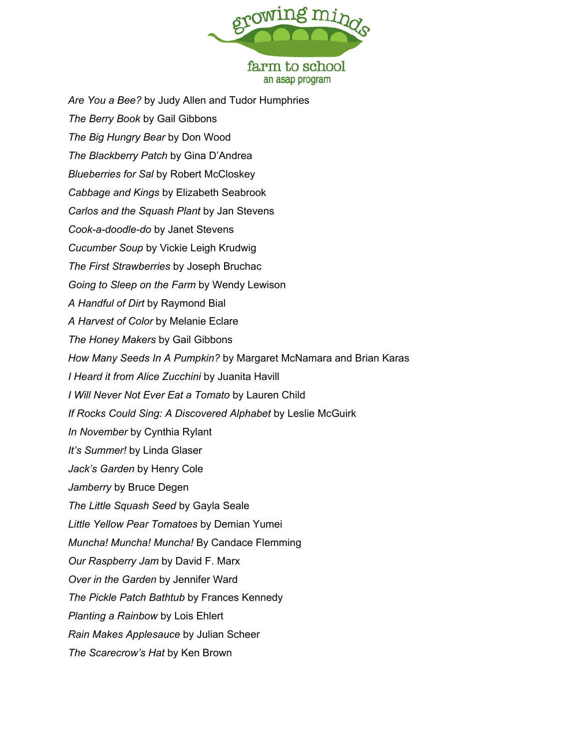

*Are You a Bee?* by Judy Allen and Tudor Humphries *The Berry Book* by Gail Gibbons *The Big Hungry Bear* by Don Wood *The Blackberry Patch* by Gina D'Andrea *Blueberries for Sal* by Robert McCloskey *Cabbage and Kings* by Elizabeth Seabrook *Carlos and the Squash Plant* by Jan Stevens *Cook-a-doodle-do* by Janet Stevens *Cucumber Soup* by Vickie Leigh Krudwig *The First Strawberries* by Joseph Bruchac *Going to Sleep on the Farm* by Wendy Lewison *A Handful of Dirt* by Raymond Bial *A Harvest of Color* by Melanie Eclare *The Honey Makers* by Gail Gibbons *How Many Seeds In A Pumpkin?* by Margaret McNamara and Brian Karas *I Heard it from Alice Zucchini* by Juanita Havill *I Will Never Not Ever Eat a Tomato* by Lauren Child *If Rocks Could Sing: A Discovered Alphabet* by Leslie McGuirk *In November* by Cynthia Rylant *It's Summer!* by Linda Glaser *Jack's Garden* by Henry Cole *Jamberry* by Bruce Degen *The Little Squash Seed* by Gayla Seale *Little Yellow Pear Tomatoes* by Demian Yumei *Muncha! Muncha! Muncha!* By Candace Flemming *Our Raspberry Jam* by David F. Marx *Over in the Garden* by Jennifer Ward *The Pickle Patch Bathtub* by Frances Kennedy *Planting a Rainbow* by Lois Ehlert *Rain Makes Applesauce* by Julian Scheer *The Scarecrow's Hat* by Ken Brown